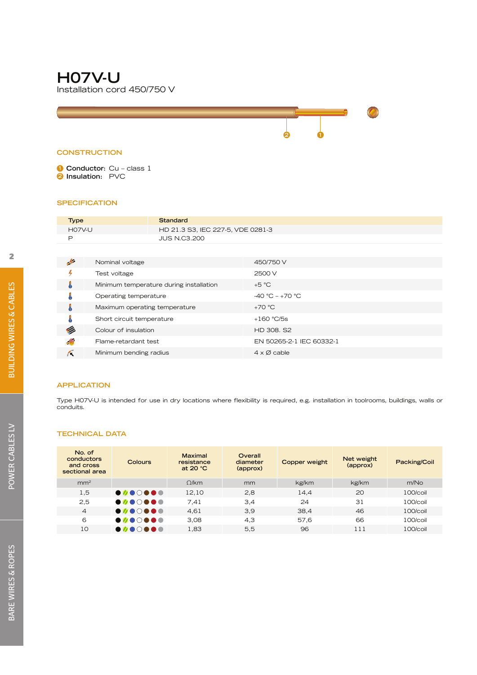# **H07V-U** Installation cord 450/750 V

#### **CONSTRUCTION**

**1 Conductor:** Cu – class 1 **2 Insulation:** PVC

#### **SPECIFICATION**

| Type |                                                    | <b>Standard</b>                         |                            |
|------|----------------------------------------------------|-----------------------------------------|----------------------------|
|      | <b>H07V-U</b><br>HD 21.3 S3, IEC 227-5, VDE 0281-3 |                                         |                            |
| P    |                                                    | <b>JUS N.C3.200</b>                     |                            |
|      |                                                    |                                         |                            |
| پھر  | Nominal voltage                                    |                                         | 450/750 V                  |
|      | Test voltage                                       |                                         | 2500 V                     |
| Å    |                                                    | Minimum temperature during installation | $+5 °C$                    |
|      | Operating temperature                              |                                         | $-40 °C - +70 °C$          |
| Å    | Maximum operating temperature                      |                                         | $+70 °C$                   |
|      | Short circuit temperature                          |                                         | $+160$ °C/5s               |
|      | Colour of insulation                               |                                         | HD 308. S2                 |
| ۸۷   | Flame-retardant test                               |                                         | EN 50265-2-1 IEC 60332-1   |
| Κ    | Minimum bending radius                             |                                         | $4 \times \emptyset$ cable |
|      |                                                    |                                         |                            |

**2 1**

#### **APPLICATION**

Type H07V-U is intended for use in dry locations where flexibility is required, e.g. installation in toolrooms, buildings, walls or conduits.

#### **TECHNICAL DATA**

| No. of<br>conductors<br>and cross<br>sectional area | Colours                                                | <b>Maximal</b><br>resistance<br>at 20 $°C$ | Overall<br>diameter<br>(approx) | Copper weight | Net weight<br>(approx) | Packing/Coil |
|-----------------------------------------------------|--------------------------------------------------------|--------------------------------------------|---------------------------------|---------------|------------------------|--------------|
| mm <sup>2</sup>                                     |                                                        | Q/km                                       | mm                              | kg/km         | kg/km                  | m/No         |
| 1,5                                                 | $\bullet\,\bullet\,\bullet\,\bullet\,\bullet\,\bullet$ | 12.10                                      | 2,8                             | 14,4          | 20                     | 100/coil     |
| 2,5                                                 | $\bullet\,\bullet\,\bullet\,\bullet\,\bullet\,\bullet$ | 7.41                                       | 3,4                             | 24            | 31                     | $100/c$ oil  |
| 4                                                   | $\bullet\ \bullet\ \circ\ \bullet\ \bullet\ \bullet$   | 4,61                                       | 3,9                             | 38,4          | 46                     | 100/coil     |
| 6                                                   | .                                                      | 3.08                                       | 4,3                             | 57,6          | 66                     | 100/coil     |
| 10                                                  | $\bullet\,\bullet\,\bullet\,\bullet\,\bullet\,\bullet$ | 1,83                                       | 5,5                             | 96            | 111                    | $100/c$ oil  |

POWER CABLES LV

POWER CABLES LV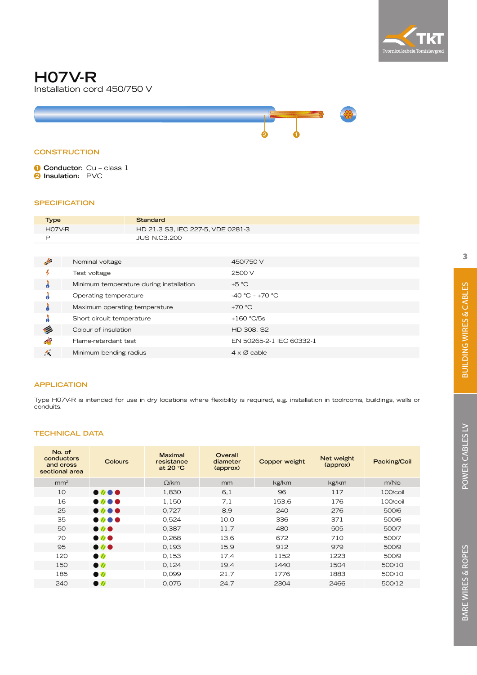

### **H07V-R** Installation cord 450/750 V



#### **CONSTRUCTION**

**1 Conductor:** Cu – class 1 **2 Insulation:** PVC

#### **SPECIFICATION**

| <b>Type</b>                 | <b>Standard</b>                         |                                   |
|-----------------------------|-----------------------------------------|-----------------------------------|
| $HO7V-R$                    |                                         | HD 21.3 S3, IEC 227-5, VDE 0281-3 |
| P                           | <b>JUS N.C3.200</b>                     |                                   |
|                             |                                         |                                   |
| 歺                           | Nominal voltage                         | 450/750 V                         |
| 4                           | Test voltage                            | 2500 V                            |
| å                           | Minimum temperature during installation | $+5 °C$                           |
|                             | Operating temperature                   | $-40 °C - +70 °C$                 |
| å                           | Maximum operating temperature           | $+70 °C$                          |
|                             | Short circuit temperature               | $+160$ °C/5s                      |
| Ø                           | Colour of insulation                    | HD 308, S2                        |
| $\mathcal{N}_{\mathcal{A}}$ | Flame-retardant test                    | EN 50265-2-1 IEC 60332-1          |
| Æ                           | Minimum bending radius                  | $4 \times \emptyset$ cable        |

#### **APPLICATION**

Type H07V-R is intended for use in dry locations where flexibility is required, e.g. installation in toolrooms, buildings, walls or conduits.

| No. of<br>conductors<br>and cross<br>sectional area | Colours                                 | <b>Maximal</b><br>resistance<br>at 20 $°C$ | Overall<br>diameter<br>(approx) | <b>Copper weight</b> | Net weight<br>(approx) | Packing/Coil     |
|-----------------------------------------------------|-----------------------------------------|--------------------------------------------|---------------------------------|----------------------|------------------------|------------------|
| mm <sup>2</sup>                                     |                                         | $\Omega$ /km                               | mm                              | kg/km                | kg/km                  | m/N <sub>O</sub> |
| 10                                                  | $\bullet\, \bullet\, \bullet\, \bullet$ | 1,830                                      | 6,1                             | 96                   | 117                    | 100/coil         |
| 16                                                  | $\bullet$ 0 $\bullet$                   | 1,150                                      | 7,1                             | 153,6                | 176                    | 100/coil         |
| 25                                                  | $\bullet\,\boldsymbol{v}\bullet\bullet$ | 0,727                                      | 8,9                             | 240                  | 276                    | 500/6            |
| 35                                                  | $\bullet$ 0 $\bullet$                   | 0,524                                      | 10,0                            | 336                  | 371                    | 500/6            |
| 50                                                  | $\bullet$                               | 0,387                                      | 11,7                            | 480                  | 505                    | 500/7            |
| 70                                                  | $\bullet$                               | 0,268                                      | 13,6                            | 672                  | 710                    | 500/7            |
| 95                                                  | $\bullet$                               | 0,193                                      | 15,9                            | 912                  | 979                    | 500/9            |
| 120                                                 | $\bullet$                               | 0,153                                      | 17,4                            | 1152                 | 1223                   | 500/9            |
| 150                                                 | $\bullet$                               | 0,124                                      | 19,4                            | 1440                 | 1504                   | 500/10           |
| 185                                                 | $\bullet$                               | 0,099                                      | 21,7                            | 1776                 | 1883                   | 500/10           |
| 240                                                 | $\bullet$                               | 0,075                                      | 24,7                            | 2304                 | 2466                   | 500/12           |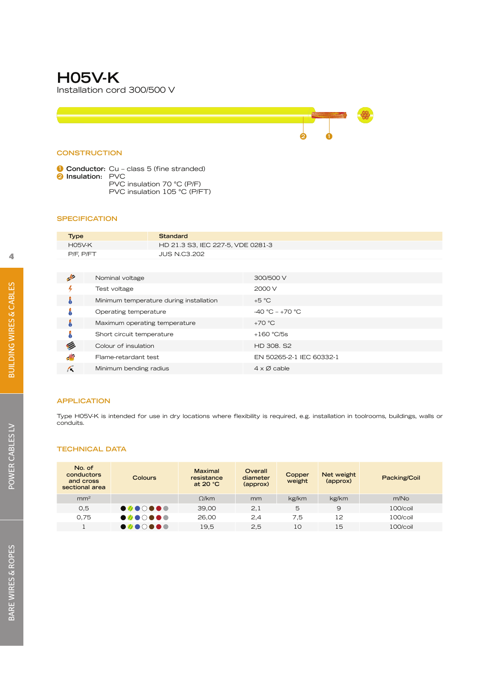### **H05V-K** Installation cord 300/500 V

#### **CONSTRUCTION**

**1 Conductor:** Cu – class 5 (fine stranded) **2 Insulation:** PVC PVC insulation 70 °C (P/F) PVC insulation 105 °C (P/FT)

#### **SPECIFICATION**

| <b>Type</b>   | Standard                          |
|---------------|-----------------------------------|
| <b>H05V-K</b> | HD 21.3 S3, IEC 227-5, VDE 0281-3 |
| P/F. P/FT     | <b>JUS N.C3.202</b>               |
|               |                                   |

**2 1**

|                            | Nominal voltage                         | 300/500 V                  |
|----------------------------|-----------------------------------------|----------------------------|
|                            | Test voltage                            | 2000 V                     |
| å                          | Minimum temperature during installation | $+5 °C$                    |
| Å                          | Operating temperature                   | $-40 °C - +70 °C$          |
| J                          | Maximum operating temperature           | $+70 °C$                   |
| å                          | Short circuit temperature               | $+160$ °C/5s               |
| Ø                          | Colour of insulation                    | HD 308, S2                 |
| $\mathcal{N}_{\mathrm{c}}$ | Flame-retardant test                    | EN 50265-2-1 IEC 60332-1   |
| K                          | Minimum bending radius                  | $4 \times \emptyset$ cable |

#### **APPLICATION**

Type H05V-K is intended for use in dry locations where flexibility is required, e.g. installation in toolrooms, buildings, walls or conduits.

| No. of<br>conductors<br>and cross<br>sectional area | <b>Colours</b>                                         | <b>Maximal</b><br>resistance<br>at $20 °C$ | Overall<br>diameter<br>(approx) | Copper<br>weight | Net weight<br>(approx) | Packing/Coil     |
|-----------------------------------------------------|--------------------------------------------------------|--------------------------------------------|---------------------------------|------------------|------------------------|------------------|
| mm <sup>2</sup>                                     |                                                        | Q/km                                       | mm                              | kg/km            | kg/km                  | m/N <sub>O</sub> |
| O,5                                                 | $\bullet\ \bullet\ \circ\ \bullet\ \bullet\ \bullet$   | 39.00                                      | 2,1                             | 5                | 9                      | 100/coil         |
| 0.75                                                | $\bullet\,\bullet\,\bullet\,\bullet\,\bullet\,\bullet$ | 26.00                                      | 2,4                             | 7.5              | 12                     | $100/c$ oil      |
|                                                     | $\bullet\ \bullet\ \circ\ \bullet\ \bullet\ \bullet$   | 19,5                                       | 2,5                             | 10               | 15                     | 100/coil         |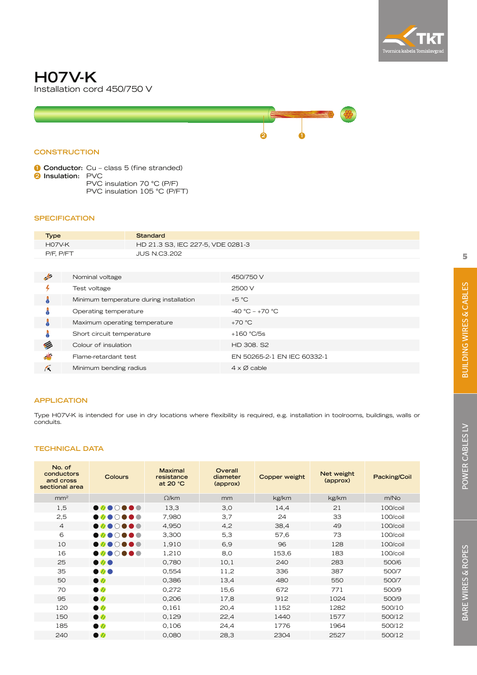

## **H07V-K** Installation cord 450/750 V



#### **CONSTRUCTION**

**1 Conductor:** Cu – class 5 (fine stranded) **2 Insulation:** PVC PVC insulation 70 °C (P/F) PVC insulation 105 °C (P/FT)

#### **SPECIFICATION**

| <b>Type</b> | Standard                          |
|-------------|-----------------------------------|
| HO7V-K      | HD 21.3 S3, IEC 227-5, VDE 0281-3 |
| P/F. P/FT   | <b>JUS N.C3.202</b>               |

| $\rightarrow$ | Nominal voltage                         | 450/750 V                   |
|---------------|-----------------------------------------|-----------------------------|
|               | Test voltage                            | 2500 V                      |
| ٠             | Minimum temperature during installation | $+5 °C$                     |
| a             | Operating temperature                   | $-40 °C - +70 °C$           |
| ō             | Maximum operating temperature           | $+70 °C$                    |
| ā             | Short circuit temperature               | $+160$ °C/5s                |
| Ø             | Colour of insulation                    | HD 308, S2                  |
| آلار          | Flame-retardant test                    | EN 50265-2-1 EN IEC 60332-1 |
| ŕκ            | Minimum bending radius                  | $4 \times \emptyset$ cable  |

#### **APPLICATION**

Type H07V-K is intended for use in dry locations where flexibility is required, e.g. installation in toolrooms, buildings, walls or conduits.

| No. of<br>conductors<br>and cross<br>sectional area | Colours                                                | <b>Maximal</b><br>resistance<br>at 20 °C | Overall<br>diameter<br>(approx) | Copper weight | Net weight<br>(approx) | Packing/Coil |
|-----------------------------------------------------|--------------------------------------------------------|------------------------------------------|---------------------------------|---------------|------------------------|--------------|
| mm <sup>2</sup>                                     |                                                        | $\Omega$ /km                             | mm                              | kg/km         | kg/km                  | m/No         |
| 1,5                                                 | $\bullet\,\bullet\,\bullet\,\bullet\,\bullet\,\bullet$ | 13,3                                     | 3,0                             | 14,4          | 21                     | 100/coil     |
| 2,5                                                 | $\bullet\,\bullet\,\bullet\,\bullet\,\bullet\,\bullet$ | 7,980                                    | 3,7                             | 24            | 33                     | 100/coil     |
| $\overline{4}$                                      | $\bullet\,\bullet\,\bullet\,\bullet\,\bullet\,\bullet$ | 4,950                                    | 4,2                             | 38,4          | 49                     | 100/coil     |
| 6                                                   | $\bullet\,\bullet\,\bullet\,\bullet\,\bullet\,\bullet$ | 3,300                                    | 5,3                             | 57,6          | 73                     | 100/coil     |
| 10                                                  | $\bullet\ \bullet\ \circ\ \bullet\ \bullet\ \bullet$   | 1,910                                    | 6,9                             | 96            | 128                    | 100/coil     |
| 16                                                  | $\bullet\,\bullet\,\bullet\,\bullet\,\bullet\,\bullet$ | 1,210                                    | 8,0                             | 153,6         | 183                    | 100/coil     |
| 25                                                  | $\bullet$                                              | 0,780                                    | 10,1                            | 240           | 283                    | 500/6        |
| 35                                                  | $\bullet$                                              | 0,554                                    | 11,2                            | 336           | 387                    | 500/7        |
| 50                                                  | $\bullet$                                              | 0,386                                    | 13,4                            | 480           | 550                    | 500/7        |
| 70                                                  | $\bullet$                                              | 0,272                                    | 15,6                            | 672           | 771                    | 500/9        |
| 95                                                  | $\bullet$                                              | 0,206                                    | 17,8                            | 912           | 1024                   | 500/9        |
| 120                                                 | $\bullet$                                              | 0.161                                    | 20,4                            | 1152          | 1282                   | 500/10       |
| 150                                                 | $\bullet$                                              | 0,129                                    | 22,4                            | 1440          | 1577                   | 500/12       |
| 185                                                 | $\bullet$                                              | 0,106                                    | 24,4                            | 1776          | 1964                   | 500/12       |
| 240                                                 | $\bullet$                                              | 0,080                                    | 28,3                            | 2304          | 2527                   | 500/12       |
|                                                     |                                                        |                                          |                                 |               |                        |              |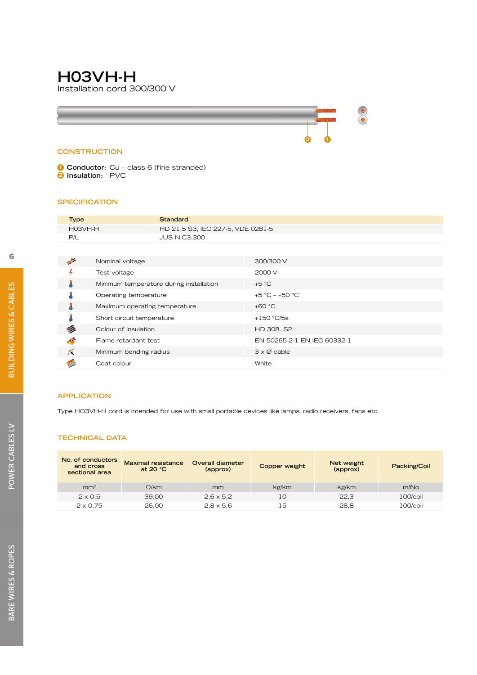# **H03VH-H**

Installation cord 300/300 V

#### **CONSTRUCTION**

**1 Conductor:** Cu – class 6 (fine stranded) **2 Insulation:** PVC

#### **SPECIFICATION**

| <b>Type</b> |                                              | <b>Standard</b>                         |                             |
|-------------|----------------------------------------------|-----------------------------------------|-----------------------------|
|             | HO3VH-H<br>HD 21.5 S3, IEC 227-5, VDE 0281-5 |                                         |                             |
| P/L         |                                              | <b>JUS N.C3.300</b>                     |                             |
|             |                                              |                                         |                             |
| 卢           | Nominal voltage                              |                                         | 300/300 V                   |
| 4           | Test voltage                                 |                                         | 2000 V                      |
| å           |                                              | Minimum temperature during installation | $+5 °C$                     |
|             | Operating temperature                        |                                         | +5 °C - +50 °C              |
|             | Maximum operating temperature                |                                         | $+60 °C$                    |
|             | Short circuit temperature                    |                                         | $+150$ °C/5s                |
| Ø           | Colour of insulation                         |                                         | HD 308, S2                  |
| اللار       | Flame-retardant test                         |                                         | EN 50265-2-1 EN IEC 60332-1 |
| Æ           | Minimum bending radius                       |                                         | $3 \times \emptyset$ cable  |
|             | Coat colour                                  |                                         | White                       |

**2 1**

\*

#### **APPLICATION**

Type HO3VH-H cord is intended for use with small portable devices like lamps, radio receivers, fans etc.

| No. of conductors<br>and cross<br>sectional area | <b>Maximal resistance</b><br>at 20 $°C$ | Overall diameter<br>(approx) | Copper weight | Net weight<br>(approx) | Packing/Coil |
|--------------------------------------------------|-----------------------------------------|------------------------------|---------------|------------------------|--------------|
| mm <sup>2</sup>                                  | Q/km                                    | mm                           | kg/km         | kg/km                  | m/No         |
| $2 \times 0.5$                                   | 39.00                                   | $2,6 \times 5,2$             | 10            | 22.3                   | $100/c$ oil  |
| $2 \times 0.75$                                  | 26.00                                   | $2.8 \times 5.6$             | 15            | 28.8                   | $100/c$ oil  |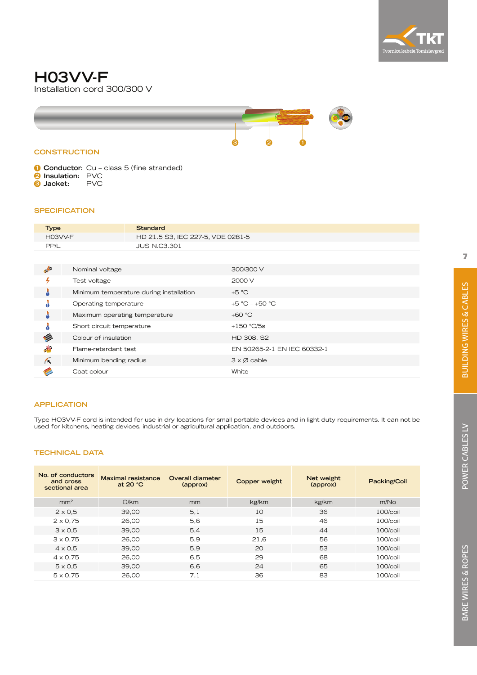

## **H03VV-F** Installation cord 300/300 V



- **1 Conductor:** Cu class 5 (fine stranded) **2 Insulation:** PVC
- **3 Jacket:** PVC

#### **SPECIFICATION**

| <b>Type</b> | Standard                          |
|-------------|-----------------------------------|
| H03VV-F     | HD 21.5 S3, IEC 227-5, VDE 0281-5 |
| PP/L        | <b>JUS N.C3.301</b>               |

| حيله         | Nominal voltage                         | 300/300 V                   |
|--------------|-----------------------------------------|-----------------------------|
|              | Test voltage                            | 2000 V                      |
| a            | Minimum temperature during installation | $+5 °C$                     |
|              | Operating temperature                   | +5 °C – +50 °C              |
|              | Maximum operating temperature           | $+60 °C$                    |
|              | Short circuit temperature               | $+150$ °C/5s                |
|              | Colour of insulation                    | HD 308, S2                  |
| $\mathbf{v}$ | Flame-retardant test                    | EN 50265-2-1 EN IEC 60332-1 |
| Æ            | Minimum bending radius                  | $3 \times \emptyset$ cable  |
|              | Coat colour                             | White                       |

#### **APPLICATION**

Type HO3VV-F cord is intended for use in dry locations for small portable devices and in light duty requirements. It can not be used for kitchens, heating devices, industrial or agricultural application, and outdoors.

| No. of conductors<br>and cross<br>sectional area | Maximal resistance<br>at $20 °C$ | Overall diameter<br>(approx) | Copper weight | Net weight<br>(approx) | Packing/Coil |
|--------------------------------------------------|----------------------------------|------------------------------|---------------|------------------------|--------------|
| mm <sup>2</sup>                                  | Q/km                             | mm                           | kg/km         | kg/km                  | m/No         |
| $2 \times 0.5$                                   | 39,00                            | 5,1                          | 10            | 36                     | $100/c$ oil  |
| $2 \times 0.75$                                  | 26.00                            | 5,6                          | 15            | 46                     | $100/c$ oil  |
| $3 \times 0.5$                                   | 39.00                            | 5,4                          | 15            | 44                     | $100/c$ oil  |
| $3 \times 0.75$                                  | 26.00                            | 5,9                          | 21,6          | 56                     | $100/c$ oil  |
| $4 \times 0.5$                                   | 39.00                            | 5,9                          | 20            | 53                     | $100/c$ oil  |
| $4 \times 0.75$                                  | 26.00                            | 6,5                          | 29            | 68                     | $100/c$ oil  |
| $5 \times 0.5$                                   | 39.00                            | 6,6                          | 24            | 65                     | $100/c$ oil  |
| $5 \times 0.75$                                  | 26,00                            | 7,1                          | 36            | 83                     | $100/c$ oil  |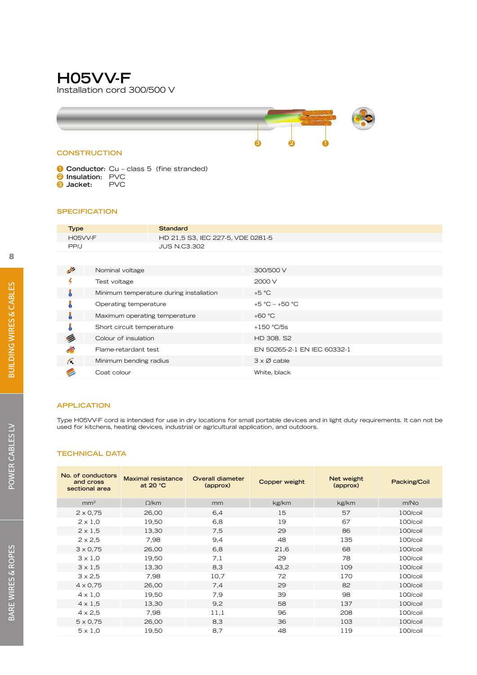# **H05VV-F** Installation cord 300/500 V



### **CONSTRUCTION**

**1 Conductor:** Cu – class 5 (fine stranded) **2 Insulation:** PVC<br>**8 Jacket:** PVC **3** Jacket:

#### **SPECIFICATION**

| <b>Type</b> | Standard                          |
|-------------|-----------------------------------|
| H05VV-F     | HD 21,5 S3, IEC 227-5, VDE 0281-5 |
| PP/J        | <b>JUS N.C3.302</b>               |

| $\rightarrow$ | Nominal voltage                         | 300/500 V                   |
|---------------|-----------------------------------------|-----------------------------|
|               | Test voltage                            | 2000 V                      |
|               | Minimum temperature during installation | $+5 °C$                     |
|               | Operating temperature                   | +5 °C - +50 °C              |
|               | Maximum operating temperature           | $+60 °C$                    |
|               | Short circuit temperature               | $+150$ °C/5s                |
|               | Colour of insulation                    | HD 308, S2                  |
| aW.           | Flame-retardant test                    | EN 50265-2-1 EN IEC 60332-1 |
| Æ             | Minimum bending radius                  | $3 \times \emptyset$ cable  |
|               | Coat colour                             | White, black                |
|               |                                         |                             |

#### **APPLICATION**

Type H05VV-F cord is intended for use in dry locations for small portable devices and in light duty requirements. It can not be used for kitchens, heating devices, industrial or agricultural application, and outdoors.

| No. of conductors<br>and cross<br>sectional area | <b>Maximal resistance</b><br>at 20 $°C$ | Overall diameter<br>(approx) | Copper weight | Net weight<br>(approx) | Packing/Coil |
|--------------------------------------------------|-----------------------------------------|------------------------------|---------------|------------------------|--------------|
| mm <sup>2</sup>                                  | $\Omega$ /km                            | mm                           | kg/km         | kg/km                  | m/No         |
| $2 \times 0.75$                                  | 26,00                                   | 6,4                          | 15            | 57                     | 100/coil     |
| $2 \times 1.0$                                   | 19,50                                   | 6,8                          | 19            | 67                     | 100/coil     |
| $2 \times 1.5$                                   | 13,30                                   | 7.5                          | 29            | 86                     | 100/coil     |
| $2 \times 2.5$                                   | 7,98                                    | 9,4                          | 48            | 135                    | 100/coil     |
| $3 \times 0.75$                                  | 26,00                                   | 6,8                          | 21,6          | 68                     | 100/coil     |
| $3 \times 1,0$                                   | 19,50                                   | 7,1                          | 29            | 78                     | 100/coil     |
| $3 \times 1.5$                                   | 13,30                                   | 8,3                          | 43,2          | 109                    | 100/coil     |
| $3 \times 2,5$                                   | 7,98                                    | 10,7                         | 72            | 170                    | 100/coil     |
| $4 \times 0.75$                                  | 26,00                                   | 7,4                          | 29            | 82                     | 100/coil     |
| $4 \times 1.0$                                   | 19,50                                   | 7.9                          | 39            | 98                     | 100/coil     |
| $4 \times 1.5$                                   | 13,30                                   | 9,2                          | 58            | 137                    | 100/coil     |
| $4 \times 2.5$                                   | 7,98                                    | 11,1                         | 96            | 208                    | 100/coil     |
| $5 \times 0.75$                                  | 26,00                                   | 8,3                          | 36            | 103                    | 100/coil     |
| $5 \times 1.0$                                   | 19,50                                   | 8.7                          | 48            | 119                    | 100/coil     |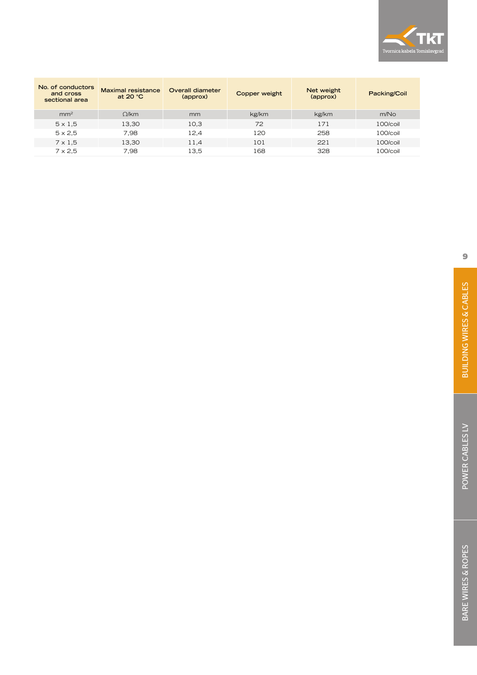

| No. of conductors<br>and cross<br>sectional area | <b>Maximal resistance</b><br>at 20 $°C$ | Overall diameter<br>(approx) | Copper weight | Net weight<br>(approx) | Packing/Coil     |
|--------------------------------------------------|-----------------------------------------|------------------------------|---------------|------------------------|------------------|
| mm <sup>2</sup>                                  | Q/km                                    | mm                           | kg/km         | kg/km                  | m/N <sub>O</sub> |
| $5 \times 1.5$                                   | 13,30                                   | 10.3                         | 72            | 171                    | $100/c$ oil      |
| $5 \times 2.5$                                   | 7.98                                    | 12.4                         | 120           | 258                    | $100/c$ oil      |
| $7 \times 1.5$                                   | 13,30                                   | 11.4                         | 101           | 221                    | $100/c$ oil      |
| $7 \times 2.5$                                   | 7.98                                    | 13.5                         | 168           | 328                    | $100/c$ oil      |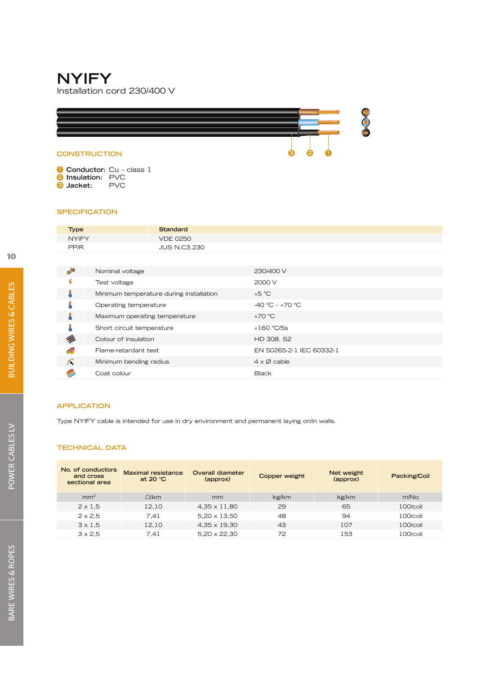### **NYIFY** Installation cord 230/400 V



**1 Conductor:** Cu – class 1 **2 Insulation:** PVC<br>**3 Jacket:** PVC  $\bullet$  **Jacket:** 

#### **SPECIFICATION**

| <b>NYIFY</b><br><b>VDE 0250</b> |  |
|---------------------------------|--|
|                                 |  |
| <b>JUS N.C3.230</b><br>PP/R     |  |

| حبار | Nominal voltage                         | 230/400 V                  |
|------|-----------------------------------------|----------------------------|
|      | Test voltage                            | 2000 V                     |
| å    | Minimum temperature during installation | $+5 °C$                    |
| Ā    | Operating temperature                   | $-40 °C - +70 °C$          |
| ö    | Maximum operating temperature           | $+70 °C$                   |
| Å    | Short circuit temperature               | $+160 °C/5s$               |
|      | Colour of insulation                    | HD 308, S2                 |
|      | Flame-retardant test                    | EN 50265-2-1 IEC 60332-1   |
| Κ    | Minimum bending radius                  | $4 \times \emptyset$ cable |
|      | Coat colour                             | <b>Black</b>               |

#### **APPLICATION**

Type NYIFY cable is intended for use in dry environment and permanent laying on/in walls.

| No. of conductors<br>and cross<br>sectional area | <b>Maximal resistance</b><br>at $20 °C$ | <b>Overall diameter</b><br>(approx) | Copper weight | Net weight<br>(approx) | Packing/Coil     |
|--------------------------------------------------|-----------------------------------------|-------------------------------------|---------------|------------------------|------------------|
| mm <sup>2</sup>                                  | Q/km                                    | mm                                  | kg/km         | kg/km                  | m/N <sub>O</sub> |
| $2 \times 1.5$                                   | 12.10                                   | $4.35 \times 11.80$                 | 29            | 65                     | $100/c$ oil      |
| $2 \times 2.5$                                   | 7.41                                    | $5,20 \times 13,50$                 | 48            | 94                     | $100/c$ oil      |
| $3 \times 1.5$                                   | 12,10                                   | $4.35 \times 19.30$                 | 43            | 107                    | $100/c$ oil      |
| $3 \times 2.5$                                   | 7.41                                    | $5,20 \times 22,30$                 | 72            | 153                    | $100/c$ oil      |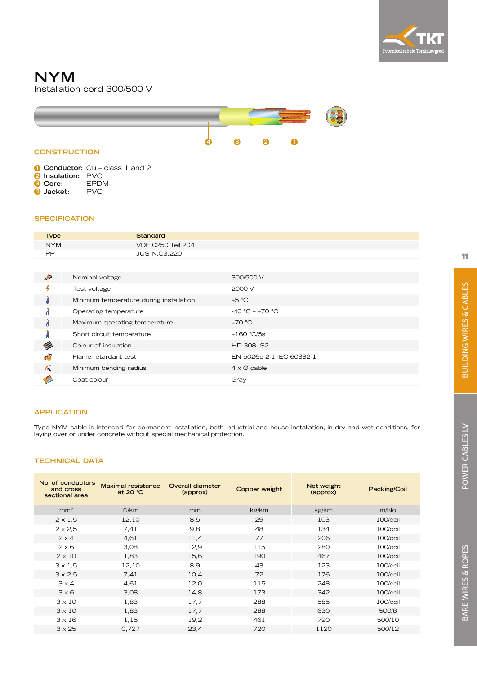

### **NYM** Installation cord 300/500 V



#### **CONSTRUCTION**

**1 Conductor:** Cu – class 1 and 2 **2 Insulation:** PVC

- **3 Core:** EPDM
- **4 Jacket:** PVC

#### **SPECIFICATION**

| <b>Type</b> | <b>Standard</b>          |
|-------------|--------------------------|
| <b>NYM</b>  | <b>VDE 0250 Teil 204</b> |
| PP          | <b>JUS N.C3.220</b>      |

| 4          | Nominal voltage                         | 300/500 V                  |
|------------|-----------------------------------------|----------------------------|
|            | Test voltage                            | 2000 V                     |
| å          | Minimum temperature during installation | $+5 °C$                    |
|            | Operating temperature                   | $-40 °C - +70 °C$          |
| Å          | Maximum operating temperature           | $+70 °C$                   |
|            | Short circuit temperature               | $+160$ °C/5s               |
|            | Colour of insulation                    | HD 308, S2                 |
| $\Delta b$ | Flame-retardant test                    | EN 50265-2-1 IEC 60332-1   |
| Κ          | Minimum bending radius                  | $4 \times \emptyset$ cable |
|            | Coat colour                             | Gray                       |

#### **APPLICATION**

Type NYM cable is intended for permanent installation, both industrial and house installation, in dry and wet conditions, for laying over or under concrete without special mechanical protection.

| No. of conductors<br>and cross<br>sectional area | <b>Maximal resistance</b><br>at 20 $°C$ | Overall diameter<br>(approx) | Copper weight | Net weight<br>(approx) | Packing/Coil |
|--------------------------------------------------|-----------------------------------------|------------------------------|---------------|------------------------|--------------|
| mm <sup>2</sup>                                  | $\Omega$ /km                            | mm                           | kg/km         | kg/km                  | m/No         |
| $2 \times 1,5$                                   | 12,10                                   | 8,5                          | 29            | 103                    | 100/coil     |
| $2 \times 2,5$                                   | 7,41                                    | 9,8                          | 48            | 134                    | 100/coil     |
| $2 \times 4$                                     | 4,61                                    | 11,4                         | 77            | 206                    | 100/coil     |
| $2 \times 6$                                     | 3,08                                    | 12,9                         | 115           | 280                    | 100/coil     |
| $2 \times 10$                                    | 1,83                                    | 15,6                         | 190           | 467                    | 100/coil     |
| $3 \times 1.5$                                   | 12,10                                   | 8,9                          | 43            | 123                    | 100/coil     |
| $3 \times 2,5$                                   | 7.41                                    | 10,4                         | 72            | 176                    | 100/coil     |
| $3 \times 4$                                     | 4,61                                    | 12,0                         | 115           | 248                    | 100/coil     |
| 3x6                                              | 3,08                                    | 14,8                         | 173           | 342                    | $100/c$ oil  |
| $3 \times 10$                                    | 1,83                                    | 17,7                         | 288           | 585                    | 100/coil     |
| $3 \times 10$                                    | 1,83                                    | 17.7                         | 288           | 630                    | 500/8        |
| $3 \times 16$                                    | 1,15                                    | 19,2                         | 461           | 790                    | 500/10       |
| $3 \times 25$                                    | 0,727                                   | 23,4                         | 720           | 1120                   | 500/12       |
|                                                  |                                         |                              |               |                        |              |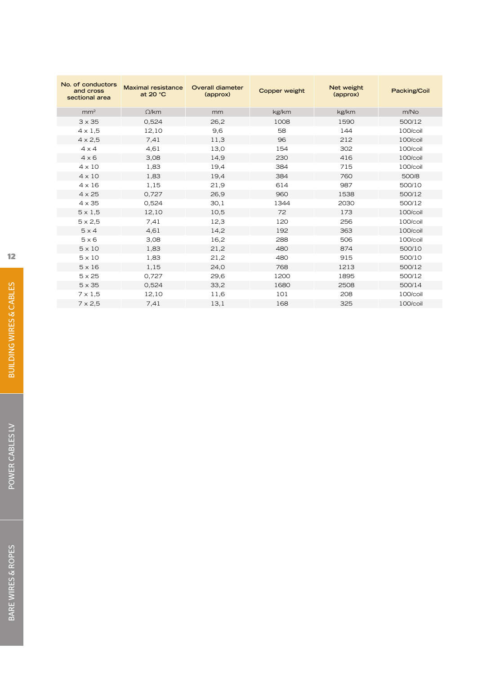| No. of conductors<br><b>Maximal resistance</b><br>and cross<br>at 20 °C<br>sectional area |              | <b>Overall diameter</b><br>(approx) | Copper weight | Net weight<br>(approx) | Packing/Coil |
|-------------------------------------------------------------------------------------------|--------------|-------------------------------------|---------------|------------------------|--------------|
| mm <sup>2</sup>                                                                           | $\Omega$ /km | mm                                  | kg/km         | kg/km                  | m/No         |
| $3 \times 35$                                                                             | 0,524        | 26,2                                | 1008          | 1590                   | 500/12       |
| $4 \times 1.5$                                                                            | 12,10        | 9,6                                 | 58            | 144                    | 100/coil     |
| $4 \times 2.5$                                                                            | 7,41         | 11,3                                | 96            | 212                    | 100/coil     |
| $4 \times 4$                                                                              | 4,61         | 13,0                                | 154           | 302                    | 100/coil     |
| $4 \times 6$                                                                              | 3,08         | 14,9                                | 230           | 416                    | 100/coil     |
| $4 \times 10$                                                                             | 1,83         | 19,4                                | 384           | 715                    | 100/coil     |
| $4 \times 10$                                                                             | 1,83         | 19,4                                | 384           | 760                    | 500/8        |
| $4 \times 16$                                                                             | 1,15         | 21,9                                | 614           | 987                    | 500/10       |
| $4 \times 25$                                                                             | 0,727        | 26,9                                | 960           | 1538                   | 500/12       |
| $4 \times 35$                                                                             | 0,524        | 30,1                                | 1344          | 2030                   | 500/12       |
| $5 \times 1,5$                                                                            | 12,10        | 10,5                                | 72            | 173                    | 100/coil     |
| $5 \times 2.5$                                                                            | 7,41         | 12,3                                | 120           | 256                    | 100/coil     |
| $5 \times 4$                                                                              | 4,61         | 14,2                                | 192           | 363                    | 100/coil     |
| $5 \times 6$                                                                              | 3,08         | 16,2                                | 288           | 506                    | 100/coil     |
| $5 \times 10$                                                                             | 1,83         | 21,2                                | 480           | 874                    | 500/10       |
| $5 \times 10$                                                                             | 1,83         | 21,2                                | 480           | 915                    | 500/10       |
| $5 \times 16$                                                                             | 1,15         | 24.0                                | 768           | 1213                   | 500/12       |
| $5 \times 25$                                                                             | 0,727        | 29,6                                | 1200          | 1895                   | 500/12       |
| $5 \times 35$                                                                             | 0,524        | 33,2                                | 1680          | 2508                   | 500/14       |
| $7 \times 1,5$                                                                            | 12,10        | 11,6                                | 101           | 208                    | 100/coil     |
| $7 \times 2.5$                                                                            | 7.41         | 13,1                                | 168           | 325                    | 100/coil     |
|                                                                                           |              |                                     |               |                        |              |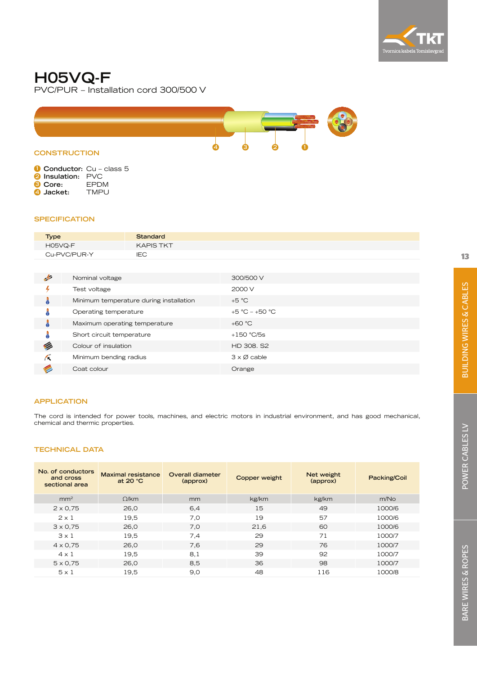

# **H05VQ-F**

PVC/PUR – Installation cord 300/500 V



|                          | <b>Conductor:</b> Cu - class 5 |
|--------------------------|--------------------------------|
| <b>2</b> Insulation: PVC |                                |
| <b>8 Core:</b>           | <b>FPDM</b>                    |

**4 Jacket:** TMPU

#### **SPECIFICATION**

| <b>Type</b>  | <b>Standard</b>  |
|--------------|------------------|
| H05VQ-F      | <b>KAPIS TKT</b> |
| Cu-PVC/PUR-Y | IEC              |

| $\rightarrow$ | Nominal voltage                         | 300/500 V                  |
|---------------|-----------------------------------------|----------------------------|
|               | Test voltage                            | 2000 V                     |
| ۰             | Minimum temperature during installation | $+5 °C$                    |
|               | Operating temperature                   | +5 °C - +50 °C             |
| Ä             | Maximum operating temperature           | $+60 °C$                   |
| å             | Short circuit temperature               | $+150$ °C/5s               |
| Ø             | Colour of insulation                    | HD 308, S2                 |
| Λ             | Minimum bending radius                  | $3 \times \emptyset$ cable |
|               | Coat colour                             | Orange                     |

#### **APPLICATION**

The cord is intended for power tools, machines, and electric motors in industrial environment, and has good mechanical, chemical and thermic properties.

| No. of conductors<br>and cross<br>sectional area | <b>Maximal resistance</b><br>at 20 $°C$ | Overall diameter<br>(approx) | Copper weight | Net weight<br>(approx) | Packing/Coil |
|--------------------------------------------------|-----------------------------------------|------------------------------|---------------|------------------------|--------------|
| mm <sup>2</sup>                                  | Q/km                                    | mm                           | kg/km         | kg/km                  | m/No         |
| $2 \times 0.75$                                  | 26,0                                    | 6,4                          | 15            | 49                     | 1000/6       |
| $2 \times 1$                                     | 19,5                                    | 7.0                          | 19            | 57                     | 1000/6       |
| $3 \times 0.75$                                  | 26,0                                    | 7,0                          | 21,6          | 60                     | 1000/6       |
| $3 \times 1$                                     | 19,5                                    | 7,4                          | 29            | 71                     | 1000/7       |
| $4 \times 0.75$                                  | 26,0                                    | 7.6                          | 29            | 76                     | 1000/7       |
| $4 \times 1$                                     | 19,5                                    | 8,1                          | 39            | 92                     | 1000/7       |
| $5 \times 0.75$                                  | 26,0                                    | 8,5                          | 36            | 98                     | 1000/7       |
| $5 \times 1$                                     | 19,5                                    | 9,0                          | 48            | 116                    | 1000/8       |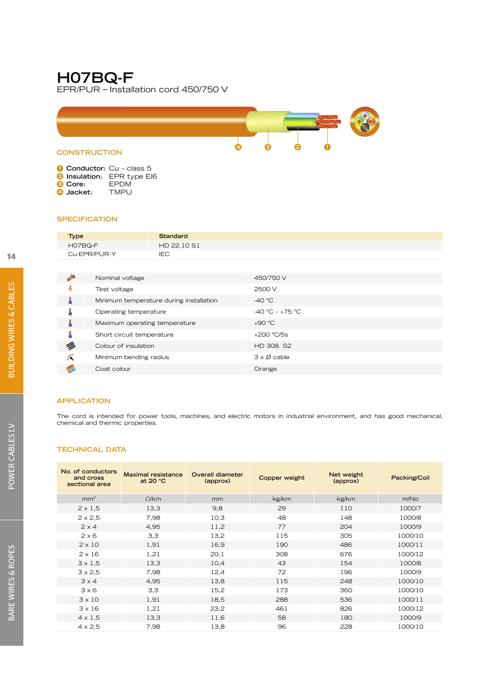# **H07BQ-F**

EPR/PUR – Installation cord 450/750 V



|  |  | Conductor: Cu - class 5 |  |
|--|--|-------------------------|--|
|--|--|-------------------------|--|

- **2 Insulation:** EPR type EI6<br>**3** Core: EPDM
- **3 Core:** EPDM
- $\bullet$  **Jacket:**

#### **SPECIFICATION**

| <b>Type</b>                                                                            | <b>Standard</b> |
|----------------------------------------------------------------------------------------|-----------------|
| H07BQ-F                                                                                | HD 22.10 S1     |
| Cu-EPR/PUR-Y                                                                           | <b>IEC</b>      |
|                                                                                        |                 |
| ı.<br>$\mathbf{A}$ and $\mathbf{A}$ and $\mathbf{A}$ and $\mathbf{A}$ and $\mathbf{A}$ | $1 - 2 - 7$     |

| $\frac{1}{2}$ | Nominal voltage                         | 450/750 V                  |
|---------------|-----------------------------------------|----------------------------|
|               | Test voltage                            | 2500 V                     |
| J             | Minimum temperature during installation | -40 $^{\circ}$ C           |
| Å             | Operating temperature                   | $-40 °C - +75 °C$          |
| Å             | Maximum operating temperature           | $+90 °C$                   |
| å             | Short circuit temperature               | $+200 °C/5s$               |
| G             | Colour of insulation                    | HD 308, S2                 |
| Κ             | Minimum bending radius                  | $3 \times \emptyset$ cable |
|               | Coat colour                             | Orange                     |
|               |                                         |                            |

#### **APPLICATION**

The cord is intended for power tools, machines, and electric motors in industrial environment, and has good mechanical, chemical and thermic properties.

| No. of conductors<br>and cross<br>sectional area | <b>Maximal resistance</b><br>at 20 $°C$ | Overall diameter<br>(approx) | Copper weight | Net weight<br>(approx) | Packing/Coil |
|--------------------------------------------------|-----------------------------------------|------------------------------|---------------|------------------------|--------------|
| mm <sup>2</sup>                                  | $\Omega$ /km                            | mm                           | kg/km         | kg/km                  | m/No         |
| $2 \times 1.5$                                   | 13,3                                    | 9,8                          | 29            | 110                    | 1000/7       |
| $2 \times 2.5$                                   | 7,98                                    | 10,3                         | 48            | 148                    | 1000/8       |
| $2 \times 4$                                     | 4,95                                    | 11,2                         | 77            | 204                    | 1000/9       |
| $2 \times 6$                                     | 3,3                                     | 13,2                         | 115           | 305                    | 1000/10      |
| $2 \times 10$                                    | 1,91                                    | 16,9                         | 190           | 486                    | 1000/11      |
| $2 \times 16$                                    | 1,21                                    | 20,1                         | 308           | 676                    | 1000/12      |
| $3 \times 1.5$                                   | 13,3                                    | 10,4                         | 43            | 154                    | 1000/8       |
| $3 \times 2.5$                                   | 7,98                                    | 12,4                         | 72            | 196                    | 1000/9       |
| $3 \times 4$                                     | 4,95                                    | 13,8                         | 115           | 248                    | 1000/10      |
| $3 \times 6$                                     | 3,3                                     | 15,2                         | 173           | 360                    | 1000/10      |
| $3 \times 10$                                    | 1,91                                    | 18,5                         | 288           | 536                    | 1000/11      |
| $3 \times 16$                                    | 1,21                                    | 23,2                         | 461           | 826                    | 1000/12      |
| $4 \times 1.5$                                   | 13,3                                    | 11,6                         | 58            | 180                    | 1000/9       |
| $4 \times 2.5$                                   | 7,98                                    | 13,8                         | 96            | 228                    | 1000/10      |
|                                                  |                                         |                              |               |                        |              |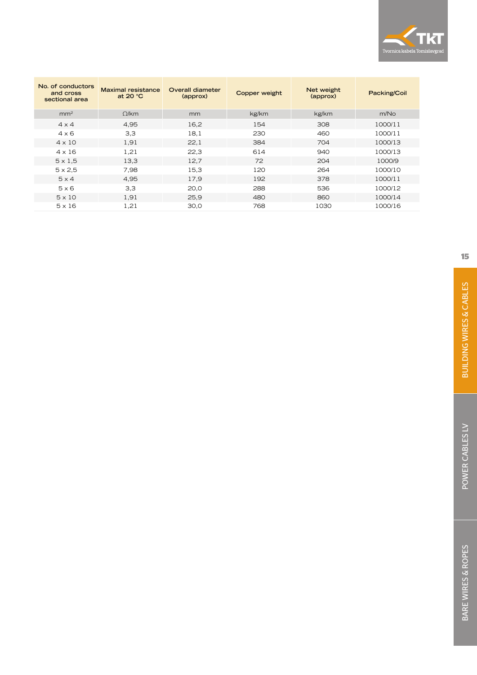

| No. of conductors<br>and cross<br>sectional area | <b>Maximal resistance</b><br>at 20 $°C$ | Overall diameter<br>(approx) | Copper weight | Net weight<br>(approx) | Packing/Coil |
|--------------------------------------------------|-----------------------------------------|------------------------------|---------------|------------------------|--------------|
| mm <sup>2</sup>                                  | Q/km                                    | mm                           | kg/km         | kg/km                  | m/No         |
| $4 \times 4$                                     | 4,95                                    | 16,2                         | 154           | 308                    | 1000/11      |
| $4 \times 6$                                     | 3,3                                     | 18.1                         | 230           | 460                    | 1000/11      |
| $4 \times 10$                                    | 1,91                                    | 22,1                         | 384           | 704                    | 1000/13      |
| $4 \times 16$                                    | 1,21                                    | 22,3                         | 614           | 940                    | 1000/13      |
| $5 \times 1.5$                                   | 13,3                                    | 12.7                         | 72            | 204                    | 1000/9       |
| $5 \times 2.5$                                   | 7,98                                    | 15,3                         | 120           | 264                    | 1000/10      |
| $5 \times 4$                                     | 4.95                                    | 17,9                         | 192           | 378                    | 1000/11      |
| $5 \times 6$                                     | 3,3                                     | 20,0                         | 288           | 536                    | 1000/12      |
| $5 \times 10$                                    | 1,91                                    | 25,9                         | 480           | 860                    | 1000/14      |
| $5 \times 16$                                    | 1,21                                    | 30,0                         | 768           | 1030                   | 1000/16      |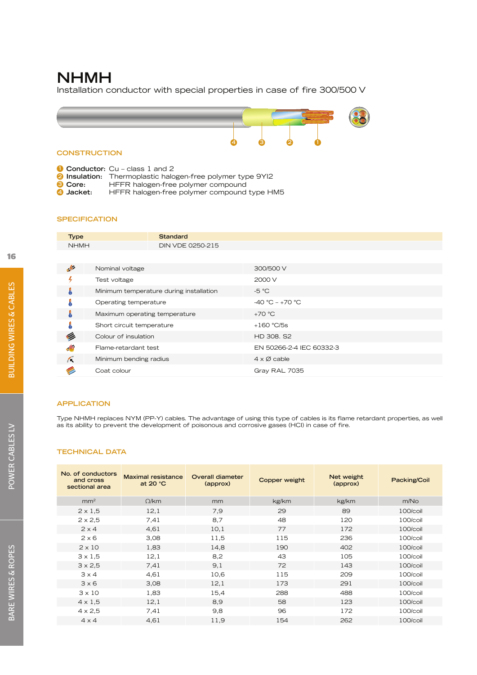# **NHMH**

Installation conductor with special properties in case of fire 300/500 V



**1 Conductor:** Cu – class 1 and 2

- **2 Insulation:** Thermoplastic halogen-free polymer type 9YI2
- **3 Core:** HFFR halogen-free polymer compound<br>**4 Jacket:** HFFR halogen-free polymer compound
- **4 Jacket:** HFFR halogen-free polymer compound type HM5

#### **SPECIFICATION**

| <b>Type</b>   |                               | <b>Standard</b>                         |                            |
|---------------|-------------------------------|-----------------------------------------|----------------------------|
| <b>NHMH</b>   |                               | DIN VDE 0250-215                        |                            |
|               |                               |                                         |                            |
| $\frac{1}{2}$ | Nominal voltage               |                                         | 300/500 V                  |
|               | Test voltage                  |                                         | 2000 V                     |
| Å             |                               | Minimum temperature during installation | $-5 °C$                    |
|               | Operating temperature         |                                         | $-40 °C - +70 °C$          |
| J             | Maximum operating temperature |                                         | $+70 °C$                   |
|               | Short circuit temperature     |                                         | $+160$ °C/5s               |
| G             | Colour of insulation          |                                         | HD 308, S2                 |
| 小             | Flame-retardant test          |                                         | EN 50266-2-4 IEC 60332-3   |
| Æ             | Minimum bending radius        |                                         | $4 \times \emptyset$ cable |
|               | Coat colour                   |                                         | Gray RAL 7035              |

#### **APPLICATION**

Type NHMH replaces NYM (PP-Y) cables. The advantage of using this type of cables is its flame retardant properties, as well as its ability to prevent the development of poisonous and corrosive gases (HCI) in case of fire.

| No. of conductors<br>and cross<br>sectional area | <b>Maximal resistance</b><br>at 20 °C | Overall diameter<br>(approx) | Copper weight | Net weight<br>(approx) | Packing/Coil |
|--------------------------------------------------|---------------------------------------|------------------------------|---------------|------------------------|--------------|
| mm <sup>2</sup>                                  | $\Omega$ /km                          | mm                           | kg/km         | kg/km                  | m/No         |
| $2 \times 1,5$                                   | 12,1                                  | 7.9                          | 29            | 89                     | 100/coil     |
| $2 \times 2,5$                                   | 7.41                                  | 8.7                          | 48            | 120                    | 100/coil     |
| $2 \times 4$                                     | 4,61                                  | 10,1                         | 77            | 172                    | 100/coil     |
| $2 \times 6$                                     | 3,08                                  | 11,5                         | 115           | 236                    | 100/coil     |
| $2 \times 10$                                    | 1,83                                  | 14,8                         | 190           | 402                    | 100/coil     |
| $3 \times 1.5$                                   | 12,1                                  | 8,2                          | 43            | 105                    | 100/coil     |
| $3 \times 2.5$                                   | 7.41                                  | 9,1                          | 72            | 143                    | 100/coil     |
| $3 \times 4$                                     | 4,61                                  | 10,6                         | 115           | 209                    | 100/coil     |
| 3x6                                              | 3,08                                  | 12,1                         | 173           | 291                    | 100/coil     |
| $3 \times 10$                                    | 1,83                                  | 15,4                         | 288           | 488                    | 100/coil     |
| $4 \times 1,5$                                   | 12,1                                  | 8,9                          | 58            | 123                    | $100/c$ oil  |
| $4 \times 2,5$                                   | 7,41                                  | 9,8                          | 96            | 172                    | 100/coil     |
| $4 \times 4$                                     | 4,61                                  | 11,9                         | 154           | 262                    | 100/coil     |
|                                                  |                                       |                              |               |                        |              |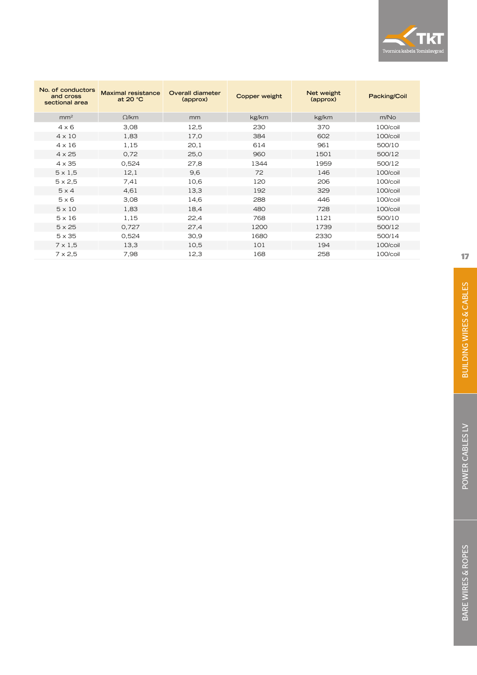

| No. of conductors<br>and cross<br>sectional area | <b>Maximal resistance</b><br>at 20 °C | Overall diameter<br>(approx) | Copper weight | Net weight<br>(approx) | Packing/Coil     |
|--------------------------------------------------|---------------------------------------|------------------------------|---------------|------------------------|------------------|
| mm <sup>2</sup>                                  | $\Omega$ /km                          | mm                           | kg/km         | kg/km                  | m/N <sub>O</sub> |
| $4 \times 6$                                     | 3,08                                  | 12,5                         | 230           | 370                    | 100/coil         |
| $4 \times 10$                                    | 1,83                                  | 17,0                         | 384           | 602                    | 100/coil         |
| $4 \times 16$                                    | 1,15                                  | 20,1                         | 614           | 961                    | 500/10           |
| $4 \times 25$                                    | 0,72                                  | 25,0                         | 960           | 1501                   | 500/12           |
| $4 \times 35$                                    | 0,524                                 | 27,8                         | 1344          | 1959                   | 500/12           |
| $5 \times 1,5$                                   | 12,1                                  | 9,6                          | 72            | 146                    | 100/coil         |
| $5 \times 2,5$                                   | 7,41                                  | 10,6                         | 120           | 206                    | 100/coil         |
| $5 \times 4$                                     | 4,61                                  | 13,3                         | 192           | 329                    | 100/coil         |
| $5 \times 6$                                     | 3,08                                  | 14,6                         | 288           | 446                    | 100/coil         |
| $5 \times 10$                                    | 1,83                                  | 18,4                         | 480           | 728                    | 100/coil         |
| $5 \times 16$                                    | 1,15                                  | 22,4                         | 768           | 1121                   | 500/10           |
| $5 \times 25$                                    | 0,727                                 | 27,4                         | 1200          | 1739                   | 500/12           |
| $5 \times 35$                                    | 0,524                                 | 30,9                         | 1680          | 2330                   | 500/14           |
| $7 \times 1,5$                                   | 13,3                                  | 10,5                         | 101           | 194                    | 100/coil         |
| $7 \times 2,5$                                   | 7,98                                  | 12,3                         | 168           | 258                    | 100/coil         |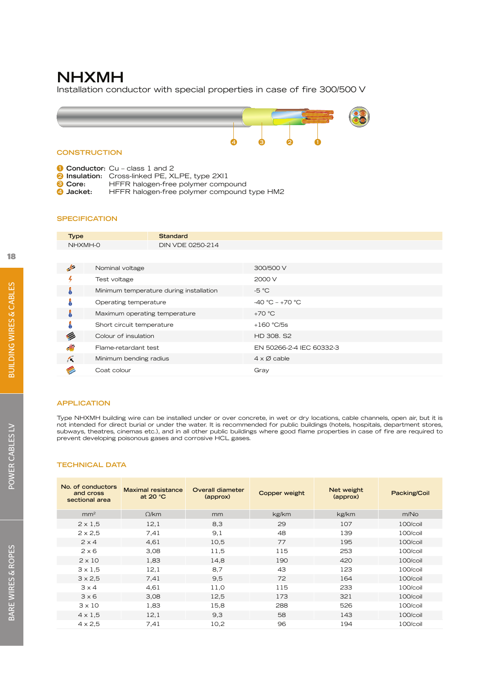# **NHXMH**

Installation conductor with special properties in case of fire 300/500 V



**1 Conductor:** Cu – class 1 and 2

**2 Insulation:** Cross-linked PE, XLPE, type 2XI1 <br>**2** Core: HFFR halogen-free polymer comp

**3 Core:** HFFR halogen-free polymer compound<br>**4 Jacket:** HFFR halogen-free polymer compound **4 Jacket:** HFFR halogen-free polymer compound type HM2

#### **SPECIFICATION**

| <b>Type</b>   |                               | <b>Standard</b>                         |                            |
|---------------|-------------------------------|-----------------------------------------|----------------------------|
| NHXMH-0       |                               | DIN VDE 0250-214                        |                            |
|               |                               |                                         |                            |
| $\frac{1}{2}$ | Nominal voltage               |                                         | 300/500 V                  |
|               | Test voltage                  |                                         | 2000 V                     |
| å             |                               | Minimum temperature during installation | $-5 °C$                    |
|               | Operating temperature         |                                         | $-40 °C - +70 °C$          |
| J             | Maximum operating temperature |                                         | $+70 °C$                   |
|               | Short circuit temperature     |                                         | $+160 °C/5s$               |
| Ø             | Colour of insulation          |                                         | HD 308, S2                 |
| اللار         | Flame-retardant test          |                                         | EN 50266-2-4 IEC 60332-3   |
| K             | Minimum bending radius        |                                         | $4 \times \emptyset$ cable |
|               | Coat colour                   |                                         | Gray                       |

#### **APPLICATION**

Type NHXMH building wire can be installed under or over concrete, in wet or dry locations, cable channels, open air, but it is not intended for direct burial or under the water. It is recommended for public buildings (hotels, hospitals, department stores, subways, theatres, cinemas etc.), and in all other public buildings where good flame properties in case of fire are required to prevent developing poisonous gases and corrosive HCL gases.

| No. of conductors<br>and cross<br>sectional area | <b>Maximal resistance</b><br>at $20 °C$ | Overall diameter<br>(approx) | Copper weight | Net weight<br>(approx) | Packing/Coil |
|--------------------------------------------------|-----------------------------------------|------------------------------|---------------|------------------------|--------------|
| mm <sup>2</sup>                                  | $\Omega$ /km                            | mm                           | kg/km         | kg/km                  | m/No         |
| $2 \times 1,5$                                   | 12,1                                    | 8,3                          | 29            | 107                    | 100/coil     |
| $2 \times 2,5$                                   | 7,41                                    | 9,1                          | 48            | 139                    | 100/coil     |
| $2 \times 4$                                     | 4,61                                    | 10,5                         | 77            | 195                    | 100/coil     |
| $2 \times 6$                                     | 3,08                                    | 11,5                         | 115           | 253                    | 100/coil     |
| $2 \times 10$                                    | 1,83                                    | 14,8                         | 190           | 420                    | 100/coil     |
| $3 \times 1,5$                                   | 12,1                                    | 8,7                          | 43            | 123                    | 100/coil     |
| $3 \times 2.5$                                   | 7.41                                    | 9,5                          | 72            | 164                    | 100/coil     |
| $3 \times 4$                                     | 4,61                                    | 11,0                         | 115           | 233                    | 100/coil     |
| 3x6                                              | 3,08                                    | 12,5                         | 173           | 321                    | 100/coil     |
| $3 \times 10$                                    | 1,83                                    | 15,8                         | 288           | 526                    | 100/coil     |
| $4 \times 1.5$                                   | 12,1                                    | 9,3                          | 58            | 143                    | 100/coil     |
| $4 \times 2,5$                                   | 7,41                                    | 10,2                         | 96            | 194                    | 100/coil     |
|                                                  |                                         |                              |               |                        |              |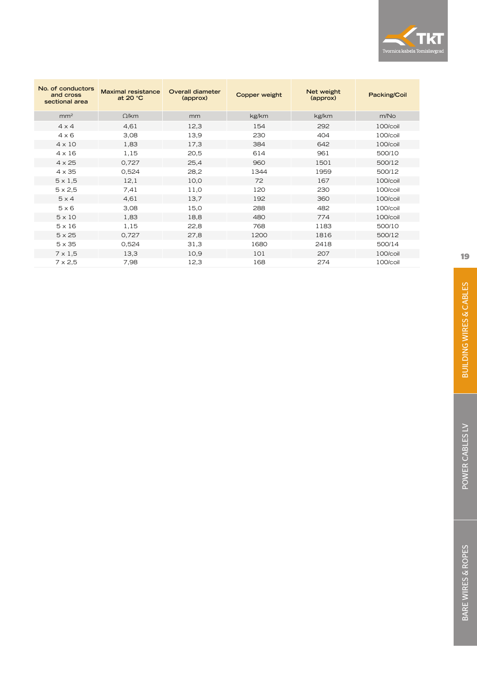

| No. of conductors<br>and cross<br>sectional area | <b>Maximal resistance</b><br>at 20 °C | Overall diameter<br>(approx) | Copper weight | Net weight<br>(approx) | Packing/Coil     |
|--------------------------------------------------|---------------------------------------|------------------------------|---------------|------------------------|------------------|
| mm <sup>2</sup>                                  | O/km                                  | mm                           | kg/km         | kg/km                  | m/N <sub>O</sub> |
| $4 \times 4$                                     | 4,61                                  | 12,3                         | 154           | 292                    | 100/coil         |
| $4 \times 6$                                     | 3,08                                  | 13,9                         | 230           | 404                    | 100/coil         |
| $4 \times 10$                                    | 1,83                                  | 17,3                         | 384           | 642                    | 100/coil         |
| $4 \times 16$                                    | 1,15                                  | 20,5                         | 614           | 961                    | 500/10           |
| $4 \times 25$                                    | 0,727                                 | 25,4                         | 960           | 1501                   | 500/12           |
| $4 \times 35$                                    | 0,524                                 | 28,2                         | 1344          | 1959                   | 500/12           |
| $5 \times 1,5$                                   | 12,1                                  | 10,0                         | 72            | 167                    | 100/coil         |
| $5 \times 2,5$                                   | 7,41                                  | 11,0                         | 120           | 230                    | 100/coil         |
| $5 \times 4$                                     | 4,61                                  | 13.7                         | 192           | 360                    | 100/coil         |
| $5 \times 6$                                     | 3,08                                  | 15,0                         | 288           | 482                    | 100/coil         |
| $5 \times 10$                                    | 1,83                                  | 18,8                         | 480           | 774                    | 100/coil         |
| $5 \times 16$                                    | 1,15                                  | 22,8                         | 768           | 1183                   | 500/10           |
| $5 \times 25$                                    | 0.727                                 | 27,8                         | 1200          | 1816                   | 500/12           |
| $5 \times 35$                                    | 0,524                                 | 31,3                         | 1680          | 2418                   | 500/14           |
| $7 \times 1,5$                                   | 13,3                                  | 10,9                         | 101           | 207                    | 100/coil         |
| $7 \times 2,5$                                   | 7,98                                  | 12,3                         | 168           | 274                    | 100/coil         |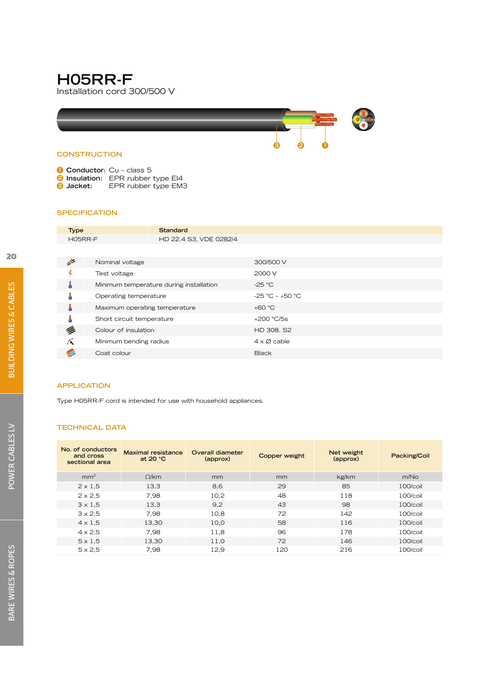# **H05RR-F**

Installation cord 300/500 V



| Conductor: Cu - class 5 |
|-------------------------|
|-------------------------|

- **2 Insulation:** EPR rubber type EI4
- **3 Jacket:** EPR rubber type EM3

#### **SPECIFICATION**

| <b>Type</b>   |                               | Standard                                |                            |
|---------------|-------------------------------|-----------------------------------------|----------------------------|
| H05RR-F       |                               | HD 22.4 S3, VDE 0282/4                  |                            |
|               |                               |                                         |                            |
| $\rightarrow$ | Nominal voltage               |                                         | 300/500 V                  |
|               | Test voltage                  |                                         | 2000 V                     |
| å             |                               | Minimum temperature during installation | $-25 °C$                   |
|               | Operating temperature         |                                         | $-25 °C - +50 °C$          |
| å             | Maximum operating temperature |                                         | $+60 °C$                   |
|               | Short circuit temperature     |                                         | $+200 °C/5s$               |
|               | Colour of insulation          |                                         | HD 308, S2                 |
| Æ             | Minimum bending radius        |                                         | $4 \times \emptyset$ cable |
|               | Coat colour                   |                                         | <b>Black</b>               |

#### **APPLICATION**

Type H05RR-F cord is intended for use with household appliances.

| No. of conductors<br>and cross<br>sectional area | <b>Maximal resistance</b><br>at $20 °C$ | Overall diameter<br>(approx) | Copper weight | Net weight<br>(approx) | Packing/Coil |
|--------------------------------------------------|-----------------------------------------|------------------------------|---------------|------------------------|--------------|
| mm <sup>2</sup>                                  | O/km                                    | mm                           | mm            | kg/km                  | m/No         |
| $2 \times 1.5$                                   | 13,3                                    | 8,6                          | 29            | 85                     | $100/c$ oil  |
| $2 \times 2.5$                                   | 7,98                                    | 10,2                         | 48            | 118                    | 100/coil     |
| $3 \times 1.5$                                   | 13,3                                    | 9,2                          | 43            | 98                     | $100/c$ oil  |
| $3 \times 2.5$                                   | 7.98                                    | 10,8                         | 72            | 142                    | $100/c$ oil  |
| $4 \times 1.5$                                   | 13,30                                   | 10,0                         | 58            | 116                    | $100/c$ oil  |
| $4 \times 2.5$                                   | 7.98                                    | 11.8                         | 96            | 178                    | 100/coil     |
| $5 \times 1.5$                                   | 13,30                                   | 11,0                         | 72            | 146                    | 100/coil     |
| $5 \times 2.5$                                   | 7,98                                    | 12.9                         | 120           | 216                    | 100/coil     |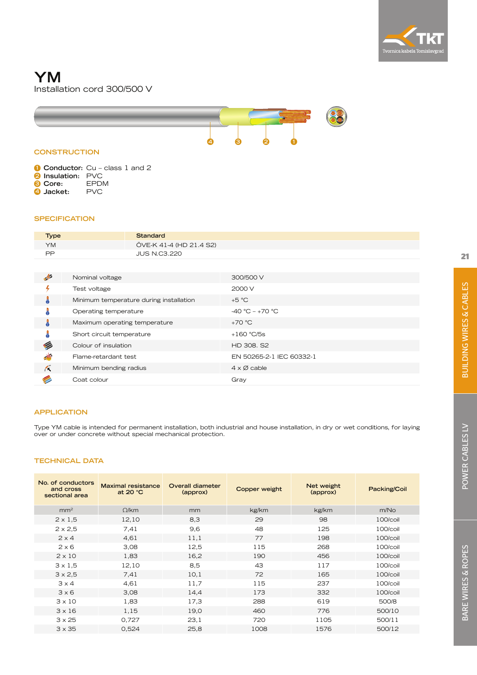

# **YM** Installation cord 300/500 V



#### **CONSTRUCTION**

**1 Conductor:** Cu – class 1 and 2

- **2 Insulation:** PVC
- **3 Core:** EPDM **4 Jacket:** PVC

#### **SPECIFICATION**

| <b>Type</b> | Standard                |
|-------------|-------------------------|
| YM          | ÖVE-K 41-4 (HD 21.4 S2) |
| <b>DD</b>   | <b>JUS N.C3.220</b>     |

| 4          | Nominal voltage                         | 300/500 V                  |
|------------|-----------------------------------------|----------------------------|
|            | Test voltage                            | 2000 V                     |
| å          | Minimum temperature during installation | $+5 °C$                    |
|            | Operating temperature                   | $-40 °C - +70 °C$          |
| Å          | Maximum operating temperature           | $+70 °C$                   |
|            | Short circuit temperature               | $+160$ °C/5s               |
|            | Colour of insulation                    | HD 308, S2                 |
| $\Delta V$ | Flame-retardant test                    | EN 50265-2-1 IEC 60332-1   |
| Κ          | Minimum bending radius                  | $4 \times \emptyset$ cable |
|            | Coat colour                             | Gray                       |

#### **APPLICATION**

Type YM cable is intended for permanent installation, both industrial and house installation, in dry or wet conditions, for laying over or under concrete without special mechanical protection.

| <b>Maximal resistance</b><br>at 20 $°C$ | Overall diameter<br>(approx) | <b>Copper weight</b> | Net weight<br>(approx) | Packing/Coil |
|-----------------------------------------|------------------------------|----------------------|------------------------|--------------|
| $\Omega$ /km                            | mm                           | kg/km                | kg/km                  | m/No         |
| 12,10                                   | 8,3                          | 29                   | 98                     | 100/coil     |
| 7,41                                    | 9,6                          | 48                   | 125                    | 100/coil     |
| 4,61                                    | 11,1                         | 77                   | 198                    | 100/coil     |
| 3,08                                    | 12,5                         | 115                  | 268                    | 100/coil     |
| 1,83                                    | 16,2                         | 190                  | 456                    | 100/coil     |
| 12,10                                   | 8,5                          | 43                   | 117                    | 100/coil     |
| 7.41                                    | 10,1                         | 72                   | 165                    | 100/coil     |
| 4,61                                    | 11,7                         | 115                  | 237                    | 100/coil     |
| 3,08                                    | 14,4                         | 173                  | 332                    | 100/coil     |
| 1,83                                    | 17,3                         | 288                  | 619                    | 500/8        |
| 1,15                                    | 19,0                         | 460                  | 776                    | 500/10       |
| 0.727                                   | 23.1                         | 720                  | 1105                   | 500/11       |
| 0,524                                   | 25,8                         | 1008                 | 1576                   | 500/12       |
|                                         |                              |                      |                        |              |